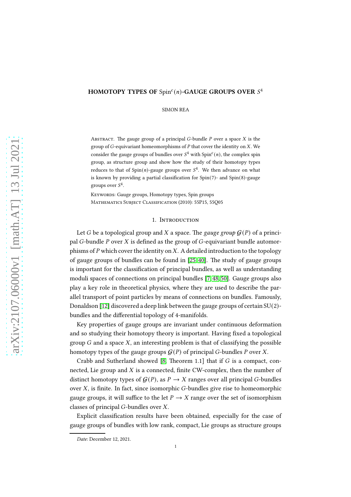# HOMOTOPY TYPES OF  $Spin<sup>c</sup>(n)$ -GAUGE GROUPS OVER  $S<sup>4</sup>$

SIMON REA

ABSTRACT. The gauge group of a principal  $G$ -bundle  $P$  over a space  $X$  is the group of  $G$ -equivariant homeomorphisms of  $P$  that cover the identity on  $X$ . We consider the gauge groups of bundles over  $S^4$  with  $Spin<sup>c</sup>(n)$ , the complex spin group, as structure group and show how the study of their homotopy types reduces to that of Spin(n)-gauge groups over  $S^4$ . We then advance on what is known by providing a partial classification for  $Spin(7)$ - and  $Spin(8)$ -gauge groups over  $S^4$ .

KEYWORDS: Gauge groups, Homotopy types, Spin groups MATHEMATICS SUBJECT CLASSIFICATION (2010): 55P15, 55Q05

### 1. INTRODUCTION

Let G be a topological group and X a space. The gauge group  $\mathcal{G}(P)$  of a principal  $G$ -bundle  $P$  over  $X$  is defined as the group of  $G$ -equivariant bundle automorphisms of P which cover the identity on X. A detailed introduction to the topology of gauge groups of bundles can be found in  $[25, 40]$  $[25, 40]$ . The study of gauge groups is important for the classification of principal bundles, as well as understanding moduli spaces of connections on principal bundles [\[7,](#page-15-1) [48,](#page-16-1) [50\]](#page-16-2). Gauge groups also play a key role in theoretical physics, where they are used to describe the parallel transport of point particles by means of connections on bundles. Famously, Donaldson [\[12\]](#page-15-2) discovered a deep link between the gauge groups of certain SU(2) bundles and the differential topology of 4-manifolds.

Key properties of gauge groups are invariant under continuous deformation and so studying their homotopy theory is important. Having fixed a topological group  $G$  and a space  $X$ , an interesting problem is that of classifying the possible homotopy types of the gauge groups  $G(P)$  of principal G-bundles P over X.

Crabb and Sutherland showed [\[8,](#page-15-3) Theorem 1.1] that if  $G$  is a compact, connected, Lie group and  $X$  is a connected, finite CW-complex, then the number of distinct homotopy types of  $G(P)$ , as  $P \to X$  ranges over all principal G-bundles over  $X$ , is finite. In fact, since isomorphic  $G$ -bundles give rise to homeomorphic gauge groups, it will suffice to the let  $P \to X$  range over the set of isomorphism classes of principal  $G$ -bundles over  $X$ .

Explicit classification results have been obtained, especially for the case of gauge groups of bundles with low rank, compact, Lie groups as structure groups

Date: December 12, 2021.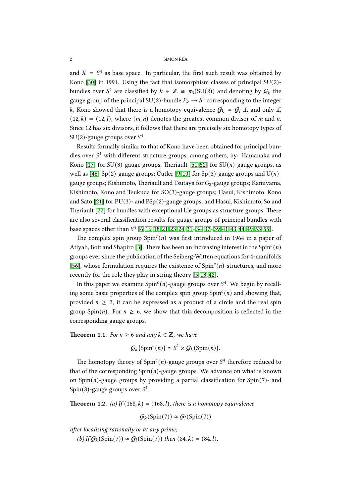and  $X = S<sup>4</sup>$  as base space. In particular, the first such result was obtained by Kono [\[30\]](#page-16-3) in 1991. Using the fact that isomorphism classes of principal  $SU(2)$ bundles over  $S^4$  are classified by  $k \in \mathbb{Z} \cong \pi_3(SU(2))$  and denoting by  $\mathcal{G}_k$  the gauge group of the principal SU(2)-bundle  $P_k \to S^4$  corresponding to the integer k, Kono showed that there is a homotopy equivalence  $\mathcal{G}_k \simeq \mathcal{G}_l$  if, and only if,  $(12, k) = (12, l)$ , where  $(m, n)$  denotes the greatest common divisor of m and n. Since 12 has six divisors, it follows that there are precisely six homotopy types of SU(2)-gauge groups over  $S^4$ .

Results formally similar to that of Kono have been obtained for principal bundles over  $S<sup>4</sup>$  with different structure groups, among others, by: Hamanaka and Kono [\[17\]](#page-15-4) for SU(3)-gauge groups; Theriault [\[51,](#page-16-4) [52\]](#page-17-0) for SU(*n*)-gauge groups, as well as [\[46\]](#page-16-5) Sp(2)-gauge groups; Cutler [\[9,](#page-15-5) [10\]](#page-15-6) for Sp(3)-gauge groups and U(n)gauge groups; Kishimoto, Theriault and Tsutaya for  $G_2$ -gauge groups; Kamiyama, Kishimoto, Kono and Tsukuda for SO(3)-gauge groups; Hasui, Kishimoto, Kono and Sato [\[21\]](#page-15-7) for PU(3)- and PSp(2)-gauge groups; and Hasui, Kishimoto, So and Theriault [\[22\]](#page-15-8) for bundles with exceptional Lie groups as structure groups. There are also several classification results for gauge groups of principal bundles with base spaces other than  $S^4$  [\[6,](#page-15-9) [16,](#page-15-10) [18,](#page-15-11) [21,](#page-15-7) [23,](#page-15-12) [24,](#page-15-13) [31–](#page-16-6)[34,](#page-16-7) [37–](#page-16-8)39, [41,](#page-16-9) [43,](#page-16-10) [44,](#page-16-11) [49,](#page-16-12) [53,](#page-17-1) [55\]](#page-17-2).

The complex spin group  $Spin<sup>c</sup>(n)$  was first introduced in 1964 in a paper of Atiyah, Bott and Shapiro [\[3\]](#page-15-14). There has been an increasing interest in the Spin $\epsilon(n)$ groups ever since the publication of the Seiberg-Wien equations for 4-manifolds [\[56\]](#page-17-3), whose formulation requires the existence of  $Spin<sup>c</sup>(n)$ -structures, and more recently for the role they play in string theory [\[5,](#page-15-15) [13,](#page-15-16) [42\]](#page-16-13).

In this paper we examine  $Spin^c(n)$ -gauge groups over  $S^4$ . We begin by recalling some basic properties of the complex spin group  $Spin<sup>c</sup>(n)$  and showing that, provided  $n \geq 3$ , it can be expressed as a product of a circle and the real spin group Spin(*n*). For  $n \ge 6$ , we show that this decomposition is reflected in the corresponding gauge groups.

<span id="page-1-1"></span>**Theorem 1.1.** For  $n \ge 6$  and any  $k \in \mathbb{Z}$ , we have

$$
\mathcal{G}_k(\text{Spin}^c(n)) \simeq S^1 \times \mathcal{G}_k(\text{Spin}(n)).
$$

The homotopy theory of Spin<sup>c</sup>(n)-gauge groups over  $S^4$  therefore reduced to that of the corresponding  $Spin(n)$ -gauge groups. We advance on what is known on  $Spin(n)$ -gauge groups by providing a partial classification for  $Spin(7)$ - and Spin(8)-gauge groups over  $S^4$ .

<span id="page-1-0"></span>**Theorem 1.2.** (a) If (168, k) = (168, l), there is a homotopy equivalence

$$
\mathcal{G}_k(\text{Spin}(7)) \simeq \mathcal{G}_l(\text{Spin}(7))
$$

after localising rationally or at any prime;

(b) If  $G_k$ (Spin(7))  $\simeq G_l$ (Spin(7)) then (84, k) = (84, l).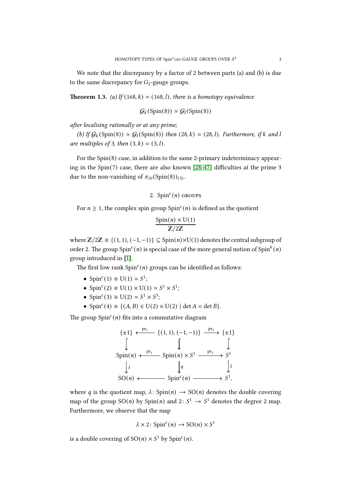<span id="page-2-0"></span>We note that the discrepancy by a factor of 2 between parts (a) and (b) is due to the same discrepancy for  $G_2$ -gauge groups.

**Theorem 1.3.** (a) If (168, k) = (168, l), there is a homotopy equivalence

$$
\mathcal{G}_k(\text{Spin}(8)) \simeq \mathcal{G}_l(\text{Spin}(8))
$$

after localising rationally or at any prime;

(b) If  $G_k(\text{Spin}(8)) \simeq G_l(\text{Spin}(8))$  then (28, k) = (28, l). Furthermore, if k and l are multiples of 3, then  $(3, k) = (3, l)$ .

For the Spin(8) case, in addition to the same 2-primary indeterminacy appearing in the Spin(7) case, there are also known [\[28,](#page-16-14) [47\]](#page-16-15) difficulties at the prime 3 due to the non-vanishing of  $\pi_{10}({\rm Spin}(8))_{(3)}$ .

# 2.  $Spin<sup>c</sup>(n)$  GROUPS

For  $n \geq 1$ , the complex spin group Spin<sup>c</sup>(*n*) is defined as the quotient

$$
\frac{\text{Spin}(n) \times \text{U}(1)}{\mathbb{Z}/2\mathbb{Z}}
$$

where  $\mathbb{Z}/2\mathbb{Z} \cong \{(1, 1), (-1, -1)\} \subseteq Spin(n) \times U(1)$  denotes the central subgroup of order 2. The group Spin $^c(n)$  is special case of the more general notion of Spin $^k(n)$ group introduced in [\[1\]](#page-15-17).

The first low rank  $Spin<sup>c</sup>(n)$  groups can be identified as follows:

- Spin<sup>c</sup>(1)  $\cong$  U(1)  $\cong$  S<sup>1</sup>;
- Spin<sup>c</sup>(2)  $\cong$  U(1)  $\times$  U(1)  $\cong$  S<sup>1</sup>  $\times$  S<sup>1</sup>;
- Spin<sup>c</sup>(3)  $\cong$  U(2)  $\cong$  S<sup>1</sup>  $\times$  S<sup>3</sup>;
- Spin<sup>c</sup>(4)  $\cong$  {(A, B)  $\in$  U(2)  $\times$  U(2) | det A = det B}.

The group  $Spin<sup>c</sup>(n)$  fits into a commutative diagram

$$
\{ \pm 1 \} \xleftarrow{\text{pr}_1} \{ (1, 1), (-1, -1) \} \xrightarrow{\text{pr}_2} \{ \pm 1 \}
$$
\n
$$
\downarrow \qquad \qquad \downarrow \qquad \qquad \downarrow
$$
\n
$$
\text{Spin}(n) \xleftarrow{\text{pr}_1} \text{Spin}(n) \times S^1 \xrightarrow{\text{pr}_2} S^1
$$
\n
$$
\downarrow \lambda \qquad \qquad \downarrow q \qquad \qquad \downarrow 2
$$
\n
$$
\text{SO}(n) \leftarrow \qquad \text{Spin}^c(n) \xrightarrow{\text{Spin}^c(n)} S^1,
$$

where q is the quotient map,  $\lambda$ : Spin(n)  $\rightarrow$  SO(n) denotes the double covering map of the group  $SO(n)$  by  $Spin(n)$  and  $2: S^1 \rightarrow S^1$  denotes the degree 2 map. Furthermore, we observe that the map

$$
\lambda \times 2 \colon \text{Spin}^c(n) \to \text{SO}(n) \times S^1
$$

is a double covering of  $SO(n) \times S^1$  by  $Spin<sup>c</sup>(n)$ .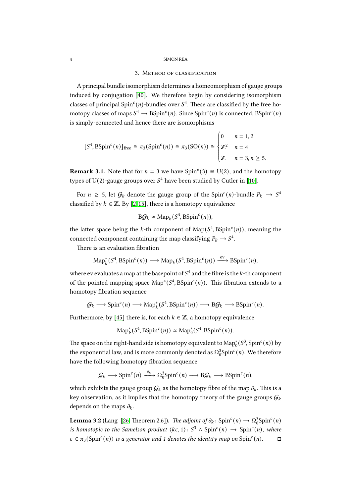## 3. Method of classification

A principal bundle isomorphism determines a homeomorphism of gauge groups induced by conjugation [\[40\]](#page-16-0). We therefore begin by considering isomorphism classes of principal Spin<sup>c</sup>(n)-bundles over  $S<sup>4</sup>$ . These are classified by the free homotopy classes of maps  $S^4 \to \text{BSpin}^c(n)$ . Since  $\text{Spin}^c(n)$  is connected,  $\text{BSpin}^c(n)$ is simply-connected and hence there are isomorphisms

$$
[S4, BSpinc(n)]free \cong \pi_3(Spinc(n)) \cong \pi_3(SO(n)) \cong \begin{cases} 0 & n = 1, 2 \\ \mathbb{Z}^2 & n = 4 \\ \mathbb{Z} & n = 3, n \ge 5. \end{cases}
$$

**Remark 3.1.** Note that for  $n = 3$  we have Spin<sup>c</sup>(3)  $\cong$  U(2), and the homotopy types of U(2)-gauge groups over  $S^4$  have been studied by Cutler in [\[10\]](#page-15-6).

For  $n \geq 5$ , let  $\mathcal{G}_k$  denote the gauge group of the Spin<sup>c</sup>(n)-bundle  $P_k \to S^4$ classified by  $k \in \mathbb{Z}$ . By [\[2,](#page-15-18) [15\]](#page-15-19), there is a homotopy equivalence

$$
\mathbf{B}\mathcal{G}_k \simeq \mathrm{Map}_k(S^4, \mathrm{BSpin}^c(n)),
$$

the latter space being the k-th component of  $\text{Map}(S^4, \text{BSpin}^c(n))$ , meaning the connected component containing the map classifying  $P_k \to S^4$ .

There is an evaluation fibration

$$
\mathrm{Map}_k^*(S^4, \mathrm{BSpin}^c(n)) \longrightarrow \mathrm{Map}_k(S^4, \mathrm{BSpin}^c(n)) \xrightarrow{\mathrm{ev}} \mathrm{BSpin}^c(n),
$$

where ev evaluates a map at the basepoint of  $S^4$  and the fibre is the  $k$ -th component of the pointed mapping space  $\text{Map}^*(S^4, \text{BSpin}^c(n))$ . This fibration extends to a homotopy fibration sequence

$$
\mathcal{G}_k \longrightarrow \text{Spin}^c(n) \longrightarrow \text{Map}_k^*(S^4, B\text{Spin}^c(n)) \longrightarrow B\mathcal{G}_k \longrightarrow B\text{Spin}^c(n).
$$

Furthermore, by [\[45\]](#page-16-16) there is, for each  $k \in \mathbb{Z}$ , a homotopy equivalence

$$
\mathrm{Map}^*_k(S^4, \mathrm{BSpin}^c(n)) \simeq \mathrm{Map}^*_0(S^4, \mathrm{BSpin}^c(n)).
$$

The space on the right-hand side is homotopy equivalent to  $\mathrm{Map}^*_0(S^3, \mathrm{Spin}^c(n))$  by the exponential law, and is more commonly denoted as  $\Omega_0^3$ Spin<sup>c</sup> $(n)$ . We therefore have the following homotopy fibration sequence

$$
\mathcal{G}_k \longrightarrow \text{Spin}^c(n) \xrightarrow{\partial_k} \Omega_0^3 \text{Spin}^c(n) \longrightarrow \text{B}\mathcal{G}_k \longrightarrow \text{BSpin}^c(n),
$$

which exhibits the gauge group  $G_k$  as the homotopy fibre of the map  $\partial_k$ . This is a key observation, as it implies that the homotopy theory of the gauge groups  $G_k$ depends on the maps  $\partial_k$ .

<span id="page-3-0"></span>**Lemma 3.2** (Lang [\[26,](#page-16-17) Theorem 2.6]). The adjoint of  $\partial_k$ : Spin<sup>c</sup>(n)  $\rightarrow \Omega_0^3$ Spin<sup>c</sup>(n) is homotopic to the Samelson product  $\langle k\epsilon, 1 \rangle : S^3 \wedge \text{Spin}^c(n) \rightarrow \text{Spin}^c(n)$ , where  $\epsilon \in \pi_3(\text{Spin}^c(n))$  is a generator and 1 denotes the identity map on  $\text{Spin}^c(n)$ .  $\square$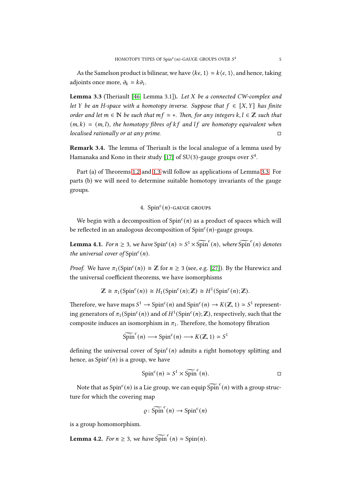<span id="page-4-0"></span>As the Samelson product is bilinear, we have  $\langle k\epsilon, 1 \rangle \simeq k \langle \epsilon, 1 \rangle$ , and hence, taking adjoints once more,  $\partial_k \simeq k \partial_1$ .

Lemma 3.3 (Theriault [\[46,](#page-16-5) Lemma 3.1]). Let  $X$  be a connected CW-complex and let Y be an H-space with a homotopy inverse. Suppose that  $f \in [X, Y]$  has finite order and let  $m \in \mathbb{N}$  be such that  $mf \simeq *$ . Then, for any integers  $k, l \in \mathbb{Z}$  such that  $(m, k) = (m, l)$ , the homotopy fibres of kf and lf are homotopy equivalent when localised rationally or at any prime.

Remark 3.4. The lemma of Theriault is the local analogue of a lemma used by Hamanaka and Kono in their study [\[17\]](#page-15-4) of SU(3)-gauge groups over  $S^4$ .

Part (a) of Theorems [1.2](#page-1-0) and [1.3](#page-2-0) will follow as applications of Lemma [3.3.](#page-4-0) For parts (b) we will need to determine suitable homotopy invariants of the gauge groups.

# 4.  $Spin<sup>c</sup>(n)$ -GAUGE GROUPS

<span id="page-4-1"></span>We begin with a decomposition of  $Spin<sup>c</sup>(n)$  as a product of spaces which will be reflected in an analogous decomposition of  $Spin<sup>c</sup>(n)$ -gauge groups.

**Lemma 4.1.** For  $n \geq 3$ , we have  $Spin^c(n) \simeq S^1 \times \widetilde{Spin}^c(n)$ , where  $\widetilde{Spin}^c(n)$  denotes the universal cover of  $Spin<sup>c</sup>(n)$ .

*Proof.* We have  $\pi_1(\text{Spin}^c(n)) \cong \mathbb{Z}$  for  $n \geq 3$  (see, e.g. [\[27\]](#page-16-18)). By the Hurewicz and the universal coefficient theorems, we have isomorphisms

$$
\mathbb{Z} \cong \pi_1(\text{Spin}^c(n)) \cong H_1(\text{Spin}^c(n); \mathbb{Z}) \cong H^1(\text{Spin}^c(n); \mathbb{Z}).
$$

Therefore, we have maps  $S^1 \to \text{Spin}^c(n)$  and  $\text{Spin}^c(n) \to K(\mathbb{Z}, 1) \simeq S^1$  representing generators of  $\pi_1(\mathrm{Spin}^c(n))$  and of  $H^1(\mathrm{Spin}^c(n);\mathbb{Z})$ , respectively, such that the composite induces an isomorphism in  $\pi_1$ . Therefore, the homotopy fibration

$$
\widetilde{\text{Spin}}^c(n) \longrightarrow \text{Spin}^c(n) \longrightarrow K(\mathbb{Z}, 1) \simeq S^1
$$

defining the universal cover of  $Spin<sup>c</sup>(n)$  admits a right homotopy splitting and hence, as  $Spin<sup>c</sup>(n)$  is a group, we have

$$
\operatorname{Spin}^c(n) \simeq S^1 \times \widetilde{\operatorname{Spin}}^c(n).
$$

Note that as  $\mathrm{Spin}^c(n)$  is a Lie group, we can equip  $\widetilde{\mathrm{Spin}}^c(n)$  with a group structure for which the covering map

$$
\varrho : \widetilde{\text{Spin}}^c(n) \to \text{Spin}^c(n)
$$

<span id="page-4-2"></span>is a group homomorphism.

**Lemma 4.2.** For  $n \geq 3$ , we have  $\widetilde{\text{Spin}}(n) \simeq \text{Spin}(n)$ .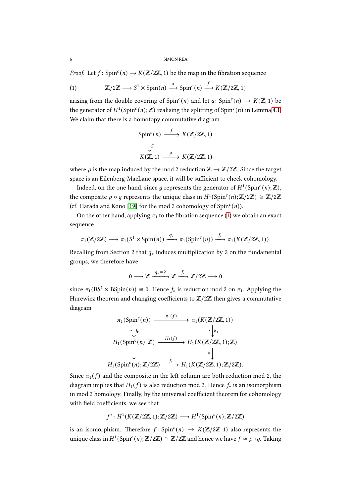*Proof.* Let  $f: Spin^c(n) \rightarrow K(\mathbb{Z}/2\mathbb{Z}, 1)$  be the map in the fibration sequence

<span id="page-5-0"></span>(1) 
$$
\mathbb{Z}/2\mathbb{Z} \longrightarrow S^1 \times \text{Spin}(n) \xrightarrow{q} \text{Spin}^c(n) \xrightarrow{f} K(\mathbb{Z}/2\mathbb{Z}, 1)
$$

arising from the double covering of  $Spin<sup>c</sup>(n)$  and let  $g: Spin<sup>c</sup>(n) \rightarrow K(\mathbb{Z}, 1)$  be the generator of  $H^1(\mathrm{Spin}^c(n);\mathbb{Z})$  realising the splitting of  $\mathrm{Spin}^c(n)$  in Lemma [4.1.](#page-4-1) We claim that there is a homotopy commutative diagram

$$
\text{Spin}^c(n) \xrightarrow{f} K(\mathbb{Z}/2\mathbb{Z}, 1)
$$
\n
$$
\downarrow^g \qquad \qquad \parallel
$$
\n
$$
K(\mathbb{Z}, 1) \xrightarrow{\rho} K(\mathbb{Z}/2\mathbb{Z}, 1)
$$

where  $\rho$  is the map induced by the mod 2 reduction  $\mathbb{Z} \to \mathbb{Z}/2\mathbb{Z}$ . Since the target space is an Eilenberg-MacLane space, it will be sufficient to check cohomology.

Indeed, on the one hand, since  $g$  represents the generator of  $H^1(\mathrm{Spin}^c(n);\mathbb{Z}),$ the composite  $\rho \circ g$  represents the unique class in  $H^1(\mathrm{Spin}^c(n); \mathbb{Z}/2\mathbb{Z}) \cong \mathbb{Z}/2\mathbb{Z}$ (cf. Harada and Kono [\[19\]](#page-15-20) for the mod 2 cohomology of  $Spin<sup>c</sup>(n)$ ).

On the other hand, applying  $\pi_1$  to the fibration sequence [\(1\)](#page-5-0) we obtain an exact sequence

$$
\pi_1(\mathbb{Z}/2\mathbb{Z}) \longrightarrow \pi_1(S^1 \times \operatorname{Spin}(n)) \xrightarrow{q_*} \pi_1(\operatorname{Spin}^c(n)) \xrightarrow{f_*} \pi_1(K(\mathbb{Z}/2\mathbb{Z}, 1)).
$$

Recalling from Section 2 that  $q_*$  induces multiplication by 2 on the fundamental groups, we therefore have

$$
0 \longrightarrow \mathbb{Z} \xrightarrow{q_*=2} \mathbb{Z} \xrightarrow{f_*} \mathbb{Z}/2\mathbb{Z} \longrightarrow 0
$$

since  $\pi_1(BS^1 \times BSpin(n)) \cong 0$ . Hence  $f_*$  is reduction mod 2 on  $\pi_1$ . Applying the Hurewicz theorem and changing coefficients to  $\mathbb{Z}/2\mathbb{Z}$  then gives a commutative diagram

$$
\pi_1(\text{Spin}^c(n)) \xrightarrow{\pi_1(f)} \pi_1(K(\mathbb{Z}/2\mathbb{Z}, 1))
$$
\n
$$
\cong \downarrow h_1 \qquad \cong \downarrow h_1
$$
\n
$$
H_1(\text{Spin}^c(n); \mathbb{Z}) \xrightarrow{H_1(f)} H_1(K(\mathbb{Z}/2\mathbb{Z}, 1); \mathbb{Z})
$$
\n
$$
\downarrow \qquad \cong \downarrow
$$
\n
$$
H_1(\text{Spin}^c(n); \mathbb{Z}/2\mathbb{Z}) \xrightarrow{f} H_1(K(\mathbb{Z}/2\mathbb{Z}, 1); \mathbb{Z}/2\mathbb{Z}).
$$

Since  $\pi_1(f)$  and the composite in the left column are both reduction mod 2, the diagram implies that  $H_1(f)$  is also reduction mod 2. Hence  $f_*$  is an isomorphism in mod 2 homology. Finally, by the universal coefficient theorem for cohomology with field coefficients, we see that

$$
f^*: H^1(K(\mathbb{Z}/2\mathbb{Z}, 1); \mathbb{Z}/2\mathbb{Z}) \longrightarrow H^1(\text{Spin}^c(n); \mathbb{Z}/2\mathbb{Z})
$$

is an isomorphism. Therefore  $f: Spin^c(n) \rightarrow K(\mathbb{Z}/2\mathbb{Z}, 1)$  also represents the unique class in  $H^1(\mathrm{Spin}^c(n);\mathbb{Z}/2\mathbb{Z})\cong \mathbb{Z}/2\mathbb{Z}$  and hence we have  $f \simeq \rho \circ g$ . Taking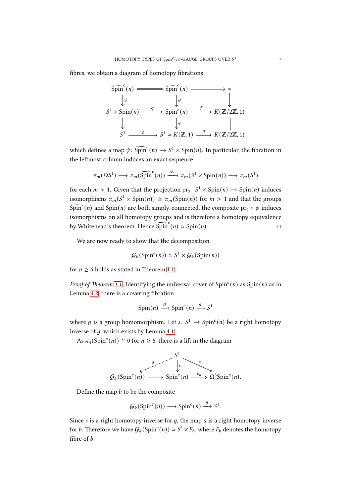fibres, we obtain a diagram of homotopy fibrations

$$
\begin{array}{ccc}\n\widetilde{\text{Spin}}^c(n) & \xrightarrow{\text{Spin}^c}(n) & \xrightarrow{\text{Spin}^c}(n) & \xrightarrow{\text{Spin}^c}(n) & \xrightarrow{\text{Spin}^c}(n) & \xrightarrow{\text{Spin}^c}(n) & \xrightarrow{\text{Spin}^c}(n) & \xrightarrow{\text{Spin}^c}(n) & \xrightarrow{\text{Spin}^c}(n) & \xrightarrow{\text{Spin}^c}(n) & \xrightarrow{\text{Spin}^c}(n) & \xrightarrow{\text{Spin}^c}(n) & \xrightarrow{\text{Spin}^c}(n) & \xrightarrow{\text{Spin}^c}(n) & \xrightarrow{\text{Spin}^c}(n) & \xrightarrow{\text{Spin}^c}(n) & \xrightarrow{\text{Spin}^c}(n) & \xrightarrow{\text{Spin}^c}(n) & \xrightarrow{\text{Spin}^c}(n) & \xrightarrow{\text{Spin}^c}(n) & \xrightarrow{\text{Spin}^c}(n) & \xrightarrow{\text{Spin}^c}(n) & \xrightarrow{\text{Spin}^c}(n) & \xrightarrow{\text{Spin}^c}(n) & \xrightarrow{\text{Spin}^c}(n) & \xrightarrow{\text{Spin}^c}(n) & \xrightarrow{\text{Spin}^c}(n) & \xrightarrow{\text{Spin}^c}(n) & \xrightarrow{\text{Spin}^c}(n) & \xrightarrow{\text{Spin}^c}(n) & \xrightarrow{\text{Spin}^c}(n) & \xrightarrow{\text{Spin}^c}(n) & \xrightarrow{\text{Spin}^c}(n) & \xrightarrow{\text{Spin}^c}(n) & \xrightarrow{\text{Spin}^c}(n) & \xrightarrow{\text{Spin}^c}(n) & \xrightarrow{\text{Spin}^c}(n) & \xrightarrow{\text{SO}^c}(n) & \xrightarrow{\text{SO}^c}(n) & \xrightarrow{\text{SO}^c}(n) & \xrightarrow{\text{SO}^c}(n) & \xrightarrow{\text{SO}^c}(n) & \xrightarrow{\text{SO}^c}(n) & \xrightarrow{\text{SO}^c}(n) & \xrightarrow{\text{SO}^c}(n) & \xrightarrow{\text{SO}^c}(n) & \xrightarrow{\text{SO}^c}(n) &
$$

which defines a map  $\psi \colon \widetilde{\text{Spin}}^c(n) \to S^1 \times \text{Spin}(n)$ . In particular, the fibration in the leftmost column induces an exact sequence

$$
\pi_m(\Omega S^1) \longrightarrow \pi_m(\widetilde{\text{Spin}}^c(n)) \xrightarrow{\psi_*} \pi_m(S^1 \times \text{Spin}(n)) \longrightarrow \pi_m(S^1)
$$

for each  $m > 1$ . Given that the projection  $\text{pr}_2$ :  $S^1 \times \text{Spin}(n) \rightarrow \text{Spin}(n)$  induces isomorphisms  $\pi_m(S^1 \times \text{Spin}(n)) \cong \pi_m(\text{Spin}(n))$  for  $m > 1$  and that the groups  $\widetilde{{\rm Spin}}^c(n)$  and  ${\rm Spin}(n)$  are both simply-connected, the composite  ${\rm pr}_2\circ \psi$  induces isomorphisms on all homotopy groups and is therefore a homotopy equivalence by Whitehead's theorem. Hence  $\widetilde{\text{Spin}}^c(n) \simeq \text{Spin}(n)$ .

We are now ready to show that the decomposition

$$
\mathcal{G}_k(\text{Spin}^c(n)) \simeq S^1 \times \mathcal{G}_k(\text{Spin}(n))
$$

for  $n \geq 6$  holds as stated in Theorem [1.1.](#page-1-1)

Proof of Theorem [1.1.](#page-1-1) Identifying the universal cover of  $Spin<sup>c</sup>(n)$  as  $Spin(n)$  as in Lemma [4.2,](#page-4-2) there is a covering fibration

$$
\operatorname{Spin}(n) \xrightarrow{\varrho} \operatorname{Spin}^c(n) \xrightarrow{g} S^1
$$

where  $\rho$  is a group homomorphism. Let  $s: S^1 \to \text{Spin}^c(n)$  be a right homotopy inverse of  $q$ , which exists by Lemma [4.1.](#page-4-1)

As  $\pi_4(\text{Spin}^c(n)) \cong 0$  for  $n \geq 6$ , there is a lift in the diagram

$$
G_k(\text{Spin}^c(n)) \xrightarrow{a \qquad s} \text{Spin}^c(n) \xrightarrow{\partial_k} \Omega_0^3 \text{Spin}^c(n).
$$

Define the map  $b$  to be the composite

$$
\mathcal{G}_k(\text{Spin}^c(n)) \longrightarrow \text{Spin}^c(n) \xrightarrow{g} S^1.
$$

Since  $s$  is a right homotopy inverse for  $g$ , the map  $a$  is a right homotopy inverse for *b*. Therefore we have  $G_k(\text{Spin}^c(n)) \simeq S^1 \times F_b$ , where  $F_b$  denotes the homotopy fibre of  $b$ .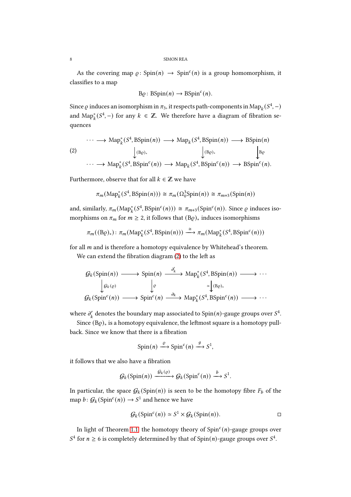As the covering map  $\varrho$ : Spin $(n) \to$  Spin<sup>c</sup> $(n)$  is a group homomorphism, it classifies to a map

$$
B\varrho: BSpin(n) \to BSpinc(n).
$$

Since  $\varrho$  induces an isomorphism in  $\pi_3$ , it respects path-components in  $\mathrm{Map}_k(S^4,-)$ and  $\text{Map}_k^*(S^4, -)$  for any  $k \in \mathbb{Z}$ . We therefore have a diagram of fibration sequences

<span id="page-7-0"></span>
$$
\cdots \longrightarrow \mathrm{Map}_{k}^{*}(S^{4}, \mathrm{BSpin}(n)) \longrightarrow \mathrm{Map}_{k}(S^{4}, \mathrm{BSpin}(n)) \longrightarrow \mathrm{BSpin}(n)
$$
\n
$$
(2) \qquad \qquad \downarrow_{(B_{\mathcal{C}})_{*}} \qquad \qquad \downarrow_{(B_{\mathcal{C}})_{*}} \qquad \qquad \downarrow_{B_{\mathcal{C}}} \qquad \qquad \downarrow_{B_{\mathcal{C}}} \qquad \qquad \downarrow_{B_{\mathcal{C}}} \qquad \qquad \downarrow_{B_{\mathcal{C}}} \qquad \qquad \downarrow_{B_{\mathcal{C}}} \qquad \qquad \downarrow_{B_{\mathcal{C}}} \qquad \qquad \downarrow_{B_{\mathcal{C}}} \qquad \qquad \downarrow_{B_{\mathcal{C}}} \qquad \qquad \downarrow_{B_{\mathcal{C}}} \qquad \qquad \downarrow_{B_{\mathcal{C}}} \qquad \qquad \downarrow_{B_{\mathcal{C}}} \qquad \qquad \downarrow_{B_{\mathcal{C}}} \qquad \qquad \downarrow_{B_{\mathcal{C}}} \qquad \qquad \downarrow_{B_{\mathcal{C}}} \qquad \qquad \downarrow_{B_{\mathcal{C}}} \qquad \qquad \downarrow_{B_{\mathcal{C}}} \qquad \qquad \downarrow_{B_{\mathcal{C}}} \qquad \qquad \downarrow_{B_{\mathcal{C}}} \qquad \qquad \downarrow_{B_{\mathcal{C}}} \qquad \qquad \downarrow_{B_{\mathcal{C}}} \qquad \qquad \downarrow_{B_{\mathcal{C}}} \qquad \qquad \downarrow_{B_{\mathcal{C}}} \qquad \qquad \downarrow_{B_{\mathcal{C}}} \qquad \qquad \downarrow_{B_{\mathcal{C}}} \qquad \qquad \downarrow_{B_{\mathcal{C}}} \qquad \qquad \downarrow_{B_{\mathcal{C}}} \qquad \qquad \downarrow_{B_{\mathcal{C}}} \qquad \qquad \downarrow_{B_{\mathcal{C}}} \qquad \qquad \downarrow_{B_{\mathcal{C}}} \qquad \qquad \downarrow_{B_{\mathcal{C}}} \qquad \qquad \downarrow_{B_{\mathcal{C}}} \qquad \qquad \downarrow_{B_{\mathcal{C}}} \qquad \qquad \downarrow_{B_{\mathcal{C}}} \qquad \qquad \downarrow_{B_{\mathcal{C}}} \qquad \qquad \downarrow_{B_{\mathcal{C}}} \qquad \qquad \downarrow_{B_{\mathcal
$$

Furthermore, observe that for all  $k \in \mathbb{Z}$  we have

$$
\pi_m(\text{Map}_k^*(S^4, \text{BSpin}(n))) \cong \pi_m(\Omega_0^3 \text{Spin}(n)) \cong \pi_{m+3}(\text{Spin}(n))
$$

and, similarly,  $\pi_m(\text{Map}_k^*(S^4, \text{BSpin}^c(n))) \cong \pi_{m+3}(\text{Spin}^c(n))$ . Since  $\varrho$  induces isomorphisms on  $\pi_m$  for  $m \geq 2$ , it follows that  $(B\varrho)_*$  induces isomorphisms

$$
\pi_m((B\varrho)_*): \pi_m(\mathrm{Map}_k^*(S^4, \mathrm{BSpin}(n))) \stackrel{\cong}{\longrightarrow} \pi_m(\mathrm{Map}_k^*(S^4, \mathrm{BSpin}^c(n)))
$$

for all  $m$  and is therefore a homotopy equivalence by Whitehead's theorem.

We can extend the fibration diagram  $(2)$  to the left as

$$
G_k(\text{Spin}(n)) \longrightarrow \text{Spin}(n) \xrightarrow{\partial'_k} \text{Map}_k^*(S^4, \text{BSpin}(n)) \longrightarrow \cdots
$$

$$
\downarrow g_k(\varrho) \qquad \qquad \downarrow \varrho \qquad \qquad \downarrow (\text{B}\varrho)_*
$$

$$
G_k(\text{Spin}^c(n)) \longrightarrow \text{Spin}^c(n) \xrightarrow{\partial_k} \text{Map}_k^*(S^4, \text{BSpin}^c(n)) \longrightarrow \cdots
$$

where  $\partial_k'$  $g'_k$  denotes the boundary map associated to  $\text{Spin}(n)$ -gauge groups over  $S^4$ .

Since (B $\rho$ )<sub>\*</sub> is a homotopy equivalence, the leftmost square is a homotopy pullback. Since we know that there is a fibration

$$
\text{Spin}(n) \xrightarrow{\varrho} \text{Spin}^c(n) \xrightarrow{g} S^1,
$$

it follows that we also have a fibration

$$
\mathcal{G}_k(\text{Spin}(n)) \xrightarrow{\mathcal{G}_k(\varrho)} \mathcal{G}_k(\text{Spin}^c(n)) \xrightarrow{b} S^1.
$$

In particular, the space  $G_k(\text{Spin}(n))$  is seen to be the homotopy fibre  $F_b$  of the map  $b: \mathcal{G}_k(\mathrm{Spin}^c(n)) \to S^1$  and hence we have

$$
\mathcal{G}_k(\text{Spin}^c(n)) \simeq S^1 \times \mathcal{G}_k(\text{Spin}(n)). \square
$$

In light of Theorem [1.1,](#page-1-1) the homotopy theory of  $Spin<sup>c</sup>(n)$ -gauge groups over  $S<sup>4</sup>$  for  $n \ge 6$  is completely determined by that of Spin(*n*)-gauge groups over  $S<sup>4</sup>$ .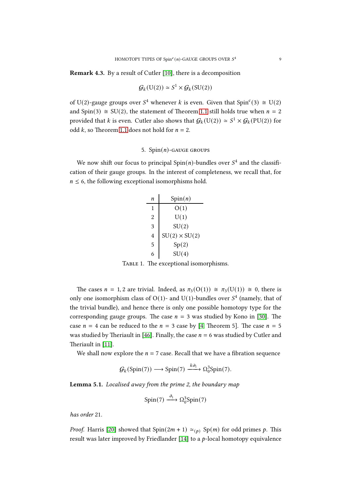Remark 4.3. By a result of Cutler [\[10\]](#page-15-6), there is a decomposition

$$
\mathcal{G}_k(\mathbf{U}(2)) \simeq S^1 \times \mathcal{G}_k(\mathbf{SU}(2))
$$

of U(2)-gauge groups over  $S<sup>4</sup>$  whenever k is even. Given that Spin<sup>c</sup>(3)  $\cong$  U(2) and Spin(3)  $\cong$  SU(2), the statement of Theorem [1.1](#page-1-1) still holds true when  $n = 2$ provided that *k* is even. Cutler also shows that  $\mathcal{G}_k(\mathrm{U}(2)) \simeq S^1 \times \mathcal{G}_k(\mathrm{PU}(2))$  for odd  $k$ , so Theorem [1.1](#page-1-1) does not hold for  $n = 2$ .

## 5.  $Spin(n)$ -GAUGE GROUPS

We now shift our focus to principal  $Spin(n)$ -bundles over  $S<sup>4</sup>$  and the classification of their gauge groups. In the interest of completeness, we recall that, for  $n \leq 6$ , the following exceptional isomorphisms hold.

| n | Spin(n)              |
|---|----------------------|
| 1 | O(1)                 |
| 2 | U(1)                 |
| 3 | SU(2)                |
| 4 | $SU(2) \times SU(2)$ |
| 5 | Sp(2)                |
| 6 | SU(4)                |

TABLE 1. The exceptional isomorphisms.

The cases  $n = 1, 2$  are trivial. Indeed, as  $\pi_3(O(1)) \cong \pi_3(U(1)) \cong 0$ , there is only one isomorphism class of  $O(1)$ - and  $U(1)$ -bundles over  $S<sup>4</sup>$  (namely, that of the trivial bundle), and hence there is only one possible homotopy type for the corresponding gauge groups. The case  $n = 3$  was studied by Kono in [\[30\]](#page-16-3). The case  $n = 4$  can be reduced to the  $n = 3$  case by [\[4,](#page-15-21) Theorem 5]. The case  $n = 5$ was studied by Theriault in [\[46\]](#page-16-5). Finally, the case  $n = 6$  was studied by Cutler and Theriault in [\[11\]](#page-15-22).

We shall now explore the  $n = 7$  case. Recall that we have a fibration sequence

$$
\mathcal{G}_k(\text{Spin}(7)) \longrightarrow \text{Spin}(7) \xrightarrow{k\partial_1} \Omega_0^3 \text{Spin}(7).
$$

<span id="page-8-0"></span>Lemma 5.1. Localised away from the prime 2, the boundary map

$$
Spin(7) \xrightarrow{\partial_1} \Omega_0^3 Spin(7)
$$

has order 21.

*Proof.* Harris [\[20\]](#page-15-23) showed that  $Spin(2m + 1) \simeq_{(p)} Sp(m)$  for odd primes p. This result was later improved by Friedlander [\[14\]](#page-15-24) to a  $p$ -local homotopy equivalence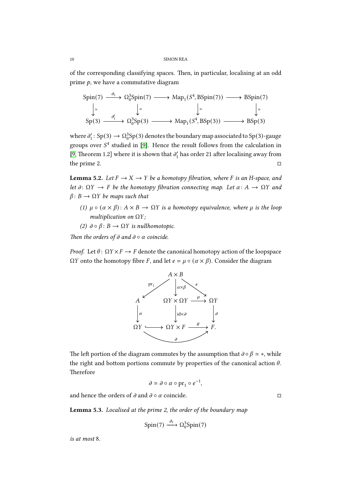of the corresponding classifying spaces. Then, in particular, localising at an odd prime  $p$ , we have a commutative diagram

$$
\text{Spin}(7) \xrightarrow{\partial_1} \Omega_0^3 \text{Spin}(7) \longrightarrow \text{Map}_1(S^4, \text{BSpin}(7)) \longrightarrow \text{BSpin}(7)
$$
\n
$$
\downarrow \simeq \qquad \qquad \downarrow \simeq \qquad \qquad \downarrow \simeq \qquad \qquad \downarrow \simeq \qquad \qquad \downarrow \simeq
$$
\n
$$
\text{Sp}(3) \xrightarrow{\partial'_1} \Omega_0^3 \text{Sp}(3) \longrightarrow \text{Map}_1(S^4, \text{BSp}(3)) \longrightarrow \text{BSp}(3)
$$

where  $\partial'_1$ : Sp(3)  $\rightarrow \Omega_0^3$ Sp(3) denotes the boundary map associated to Sp(3)-gauge groups over  $S<sup>4</sup>$  studied in [\[9\]](#page-15-5). Hence the result follows from the calculation in [\[9,](#page-15-5) Theorem 1.2] where it is shown that  $\partial'_1$  has order 21 after localising away from the prime 2.  $\Box$ 

<span id="page-9-0"></span>**Lemma 5.2.** Let  $F \to X \to Y$  be a homotopy fibration, where F is an H-space, and let  $\partial \colon \Omega Y \to F$  be the homotopy fibration connecting map. Let  $\alpha \colon A \to \Omega Y$  and  $\beta$ :  $B \rightarrow \Omega Y$  be maps such that

- (1)  $\mu \circ (\alpha \times \beta) : A \times B \to \Omega Y$  is a homotopy equivalence, where  $\mu$  is the loop multiplication on  $\Omega Y$ ;
- (2)  $\partial \circ \beta : B \to \Omega Y$  is nullhomotopic.

Then the orders of  $\partial$  and  $\partial \circ \alpha$  coincide.

*Proof.* Let  $\theta$ :  $\Omega Y \times F \to F$  denote the canonical homotopy action of the loopspace  $\Omega Y$  onto the homotopy fibre *F*, and let  $e = \mu \circ (\alpha \times \beta)$ . Consider the diagram



The left portion of the diagram commutes by the assumption that  $\partial \circ \beta \simeq *,$  while the right and bottom portions commute by properties of the canonical action  $\theta$ . Therefore

$$
\partial \simeq \partial \circ \alpha \circ \mathrm{pr}_1 \circ e^{-1},
$$

<span id="page-9-1"></span>and hence the orders of  $\partial$  and  $\partial \circ \alpha$  coincide.

Lemma 5.3. Localised at the prime 2, the order of the boundary map

$$
\text{Spin}(7) \xrightarrow{\partial_1} \Omega_0^3 \text{Spin}(7)
$$

is at most 8.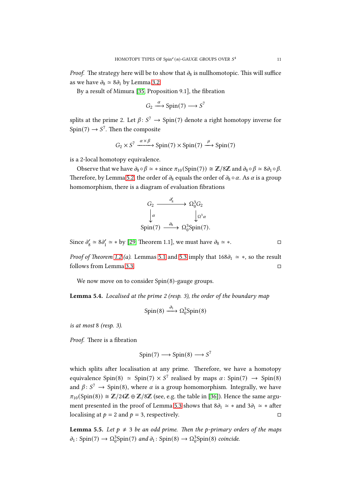*Proof.* The strategy here will be to show that  $\partial_8$  is nullhomotopic. This will suffice as we have  $\partial_8 \simeq 8\partial_1$  by Lemma [3.2.](#page-3-0)

By a result of Mimura [\[35,](#page-16-19) Proposition 9.1], the fibration

$$
G_2 \xrightarrow{\alpha} Spin(7) \longrightarrow S^7
$$

splits at the prime 2. Let  $\beta: S^7 \to \text{Spin}(7)$  denote a right homotopy inverse for  $Spin(7) \rightarrow S^7$ . Then the composite

$$
G_2 \times S^7 \xrightarrow{\alpha \times \beta} \text{Spin}(7) \times \text{Spin}(7) \xrightarrow{\mu} \text{Spin}(7)
$$

is a 2-local homotopy equivalence.

Observe that we have  $\partial_8 \circ \beta \simeq *$  since  $\pi_{10}(\text{Spin}(7)) \cong \mathbb{Z}/8\mathbb{Z}$  and  $\partial_8 \circ \beta \simeq 8\partial_1 \circ \beta$ . Therefore, by Lemma [5.2,](#page-9-0) the order of  $\partial_8$  equals the order of  $\partial_8 \circ \alpha$ . As  $\alpha$  is a group homomorphism, there is a diagram of evaluation fibrations

$$
G_2 \xrightarrow{\partial'_8} \Omega_0^3 G_2
$$
  
\n
$$
\downarrow \alpha \qquad \qquad \downarrow \Omega^3 \alpha
$$
  
\n
$$
\text{Spin}(7) \xrightarrow{\partial_8} \Omega_0^3 \text{Spin}(7).
$$

Since  $\partial_8' \simeq 8 \partial_1' \simeq *$  by [\[29,](#page-16-20) Theorem 1.1], we must have  $\partial_8 \simeq *$ .

*Proof of Theorem [1.2](#page-1-0) (a).* Lemmas [5.1](#page-8-0) and [5.3](#page-9-1) imply that  $168\partial_1 \approx *$ , so the result follows from Lemma [3.3.](#page-4-0)

<span id="page-10-0"></span>We now move on to consider Spin(8)-gauge groups.

Lemma 5.4. Localised at the prime 2 (resp. 3), the order of the boundary map

$$
Spin(8) \xrightarrow{\partial_1} \Omega_0^3 Spin(8)
$$

is at most 8 (resp. 3).

Proof. There is a fibration

$$
Spin(7) \longrightarrow Spin(8) \longrightarrow S^7
$$

which splits after localisation at any prime. Therefore, we have a homotopy equivalence Spin(8)  $\approx$  Spin(7)  $\times$  S<sup>7</sup> realised by maps  $\alpha$ : Spin(7)  $\rightarrow$  Spin(8) and  $\beta$ :  $S^7 \rightarrow$  Spin(8), where  $\alpha$  is a group homomorphism. Integrally, we have  $\pi_{10}(\text{Spin}(8)) \cong \mathbb{Z}/24\mathbb{Z} \oplus \mathbb{Z}/8\mathbb{Z}$  (see, e.g. the table in [\[36\]](#page-16-21)). Hence the same argu-ment presented in the proof of Lemma [5.3](#page-9-1) shows that  $8\partial_1 \simeq *$  and  $3\partial_1 \simeq *$  after localising at  $p = 2$  and  $p = 3$ , respectively.

<span id="page-10-1"></span>**Lemma 5.5.** Let  $p \neq 3$  be an odd prime. Then the p-primary orders of the maps  $\partial_1$ : Spin(7)  $\rightarrow \Omega_0^3$ Spin(7) and  $\partial_1$ : Spin(8)  $\rightarrow \Omega_0^3$ Spin(8) coincide.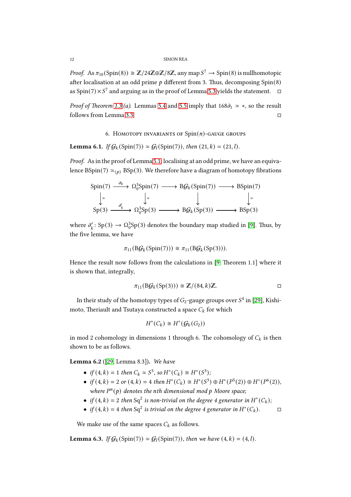*Proof.* As  $\pi_{10}(\text{Spin}(8)) \cong \mathbb{Z}/24\mathbb{Z} \oplus \mathbb{Z}/8\mathbb{Z}$ , any map  $S^7 \to \text{Spin}(8)$  is nullhomotopic after localisation at an odd prime  $p$  different from 3. Thus, decomposing Spin(8) as Spin $(7) \times S^7$  and arguing as in the proof of Lemma [5.3](#page-9-1) yields the statement.  $\Box$ 

*Proof of Theorem [1.3](#page-2-0) (a).* Lemmas [5.4](#page-10-0) and [5.5](#page-10-1) imply that  $168\partial_1 \approx *$ , so the result follows from Lemma [3.3.](#page-4-0)

6. HOMOTOPY INVARIANTS OF  $Spin(n)$ -GAUGE GROUPS

<span id="page-11-1"></span>**Lemma 6.1.** If  $G_k(\text{Spin}(7)) \simeq G_l(\text{Spin}(7))$ , then  $(21, k) = (21, l)$ .

Proof. As in the proof of Lemma [5.1,](#page-8-0) localising at an odd prime, we have an equivalence BSpin(7)  $\simeq_{(p)}$  BSp(3). We therefore have a diagram of homotopy fibrations

$$
Spin(7) \xrightarrow{\partial_k} \Omega_0^3 Spin(7) \longrightarrow B\mathcal{G}_k(Spin(7)) \longrightarrow BSpin(7)
$$
\n
$$
\downarrow \simeq \qquad \qquad \downarrow \qquad \qquad \downarrow \simeq
$$
\n
$$
Sp(3) \xrightarrow{\partial'_k} \Omega_0^3 Sp(3) \longrightarrow B\mathcal{G}_k(Sp(3)) \longrightarrow BSp(3)
$$

where  $\partial'_{k}$  $\Omega'_k$ : Sp(3)  $\to \Omega_0^3$ Sp(3) denotes the boundary map studied in [\[9\]](#page-15-5). Thus, by the five lemma, we have

$$
\pi_{11}(B\mathcal{G}_k(Spin(7))) \cong \pi_{11}(B\mathcal{G}_k(Sp(3))).
$$

Hence the result now follows from the calculations in  $[9,$  Theorem 1.1] where it is shown that, integrally,

$$
\pi_{11}(B\mathcal{G}_k(Sp(3))) \cong \mathbb{Z}/(84,k)\mathbb{Z}.
$$

In their study of the homotopy types of  $G_2$ -gauge groups over  $S^4$  in [\[29\]](#page-16-20), Kishimoto, Theriault and Tsutaya constructed a space  $C_k$  for which

$$
H^*(C_k) \cong H^*(\mathcal{G}_k(G_2))
$$

<span id="page-11-0"></span>in mod 2 cohomology in dimensions 1 through 6. The cohomology of  $C_k$  is then shown to be as follows.

Lemma 6.2 ([\[29,](#page-16-20) Lemma 8.3]). We have

- if  $(4, k) = 1$  then  $C_k \simeq S^3$ , so  $H^*(C_k) \cong H^*(S^3)$ ;
- if  $(4, k) = 2$  or  $(4, k) = 4$  then  $H^*(C_k) \cong H^*(S^3) \oplus H^*(P^5(2)) \oplus H^*(P^6(2)),$ where  $P^{n}(p)$  denotes the nth dimensional mod p Moore space;
- if  $(4, k) = 2$  then Sq<sup>2</sup> is non-trivial on the degree 4 generator in  $H^*(C_k)$ ;
- if  $(4, k) = 4$  then  $Sq^2$  is trivial on the degree 4 generator in  $H^*(C_k)$ .

<span id="page-11-2"></span>We make use of the same spaces  $C_k$  as follows.

**Lemma 6.3.** If  $G_k(\text{Spin}(7)) \simeq G_l(\text{Spin}(7))$ , then we have  $(4, k) = (4, l)$ .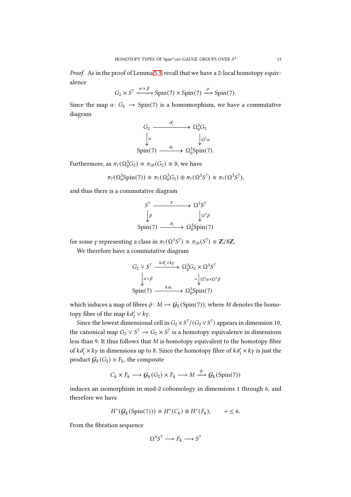Proof. As in the proof of Lemma [5.3,](#page-9-1) recall that we have a 2-local homotopy equivalence

$$
G_2 \times S^7 \xrightarrow{\alpha \times \beta} \text{Spin}(7) \times \text{Spin}(7) \xrightarrow{\mu} \text{Spin}(7).
$$

Since the map  $\alpha: G_2 \to Spin(7)$  is a homomorphism, we have a commutative diagram

$$
G_2 \xrightarrow{\partial'_1} \Omega_0^3 G_2
$$
  
\n
$$
\downarrow \alpha \qquad \qquad \downarrow \Omega^3 \alpha
$$
  
\n
$$
\text{Spin}(7) \xrightarrow{\partial_1} \Omega_0^3 \text{Spin}(7).
$$

Furthermore, as  $\pi_7(\Omega_0^3 G_2) \cong \pi_{10}(G_2) \cong 0$ , we have

$$
\pi_7(\Omega_0^3 \text{Spin}(7)) \cong \pi_7(\Omega_0^3 G_2) \oplus \pi_7(\Omega^3 S^7) \cong \pi_7(\Omega^3 S^7),
$$

and thus there is a commutative diagram

$$
S^7 \longrightarrow \Omega^3 S^7
$$
  
\n
$$
\downarrow^{\beta} \qquad \qquad \downarrow^{\Omega^3 \beta}
$$
  
\n
$$
Spin(7) \longrightarrow \Omega_0^3 Spin(7)
$$

for some  $\gamma$  representing a class in  $\pi_7(\Omega^3 S^7) \cong \pi_{10}(S^7) \cong \mathbb{Z}/8\mathbb{Z}$ .

We therefore have a commutative diagram

$$
G_2 \vee S^7 \xrightarrow{k \partial'_1 \vee k \gamma} \Omega_0^3 G_2 \times \Omega^3 S^7
$$
  
\n
$$
\downarrow \alpha \vee \beta \qquad \qquad \simeq \downarrow \Omega^3 \alpha \times \Omega^3 \beta
$$
  
\n
$$
\text{Spin}(7) \xrightarrow{k \partial_1} \Omega_0^3 \text{Spin}(7)
$$

which induces a map of fibres  $\phi \colon M \to \mathcal{G}_k(\text{Spin}(7))$ , where M denotes the homotopy fibre of the map  $k\partial'_1 \vee k\gamma$ .

Since the lowest dimensional cell in  $G_2\times S^7/(G_2\vee S^7)$  appears in dimension 10, the canonical map  $G_2 \vee S^7 \to G_2 \times S^7$  is a homotopy equivalence in dimensions less than 9. It thus follows that  $M$  is homotopy equivalent to the homotopy fibre of  $k\partial_1' \times k\gamma$  in dimensions up to 8. Since the homotopy fibre of  $k\partial_1' \times k\gamma$  is just the product  $G_k(G_2) \times F_k$ , the composite

$$
C_k \times F_k \longrightarrow \mathcal{G}_k(G_2) \times F_k \longrightarrow M \xrightarrow{\phi} \mathcal{G}_k(\text{Spin}(7))
$$

induces an isomorphism in mod-2 cohomology in dimensions 1 through 6, and therefore we have

$$
H^*(\mathcal{G}_k(\text{Spin}(7))) \cong H^*(C_k) \otimes H^*(F_k), \qquad * \leq 6.
$$

From the fibration sequence

$$
\Omega^4 S^7 \longrightarrow F_k \longrightarrow S^7
$$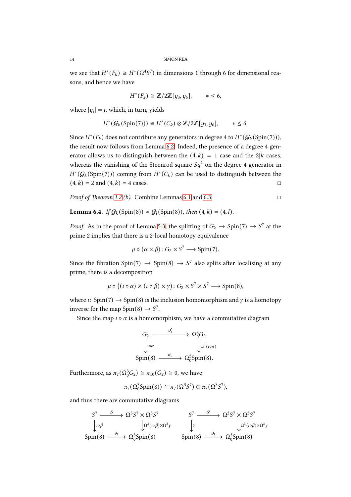we see that  $H^*(F_k) \cong H^*(\Omega^4S^7)$  in dimensions 1 through 6 for dimensional reasons, and hence we have

$$
H^*(F_k) \cong \mathbb{Z}/2\mathbb{Z}[y_3, y_6], \qquad * \leq 6,
$$

where  $|y_i| = i$ , which, in turn, yields

$$
H^*(\mathcal{G}_k(\text{Spin}(7))) \cong H^*(C_k) \otimes \mathbb{Z}/2\mathbb{Z}[y_3, y_6], \qquad * \leq 6.
$$

Since  $H^*(F_k)$  does not contribute any generators in degree 4 to  $H^*(\mathcal{G}_k(\operatorname{Spin}(7))),$ the result now follows from Lemma [6.2.](#page-11-0) Indeed, the presence of a degree 4 generator allows us to distinguish between the  $(4, k) = 1$  case and the 2|k cases, whereas the vanishing of the Steenrod square  $Sq^2$  on the degree 4 generator in  $H^*(\mathcal{G}_k(Spin(7)))$  coming from  $H^*(C_k)$  can be used to distinguish between the  $(4, k) = 2$  and  $(4, k) = 4$  cases.

<span id="page-13-0"></span>*Proof of Theorem [1.2](#page-1-0) (b).* Combine Lemmas [6.1](#page-11-1) and [6.3.](#page-11-2)

**Lemma 6.4.** If  $G_k$  (Spin(8))  $\simeq G_l$  (Spin(8)), then (4, k) = (4, l).

*Proof.* As in the proof of Lemma [5.3,](#page-9-1) the splitting of  $G_2 \to \text{Spin}(7) \to S^7$  at the prime 2 implies that there is a 2-local homotopy equivalence

$$
\mu \circ (\alpha \times \beta) : G_2 \times S^7 \longrightarrow \text{Spin}(7).
$$

Since the fibration Spin(7)  $\rightarrow$  Spin(8)  $\rightarrow$  S<sup>7</sup> also splits after localising at any prime, there is a decomposition

$$
\mu \circ ((\iota \circ \alpha) \times (\iota \circ \beta) \times \gamma) : G_2 \times S^7 \times S^7 \longrightarrow \text{Spin}(8),
$$

where  $\iota$ : Spin(7)  $\rightarrow$  Spin(8) is the inclusion homomorphism and  $\gamma$  is a homotopy inverse for the map  $Spin(8) \rightarrow S^7$ .

Since the map  $\iota \circ \alpha$  is a homomorphism, we have a commutative diagram

$$
G_2 \xrightarrow{\partial'_1} \Omega_0^3 G_2
$$
  
\n
$$
\downarrow \omega \alpha \qquad \qquad \downarrow \Omega^3(\omega \alpha)
$$
  
\nSpin(8)  $\xrightarrow{\partial_1} \Omega_0^3$ Spin(8).

Furthermore, as  $\pi_7(\Omega_0^3 G_2) \cong \pi_{10}(G_2) \cong 0$ , we have

$$
\pi_7(\Omega_0^3 \text{Spin}(8)) \cong \pi_7(\Omega^3 S^7) \oplus \pi_7(\Omega^3 S^7),
$$

and thus there are commutative diagrams

$$
S^{7} \xrightarrow{\delta} \Omega^{3} S^{7} \times \Omega^{3} S^{7} \longrightarrow S^{7} \xrightarrow{\delta'} \Omega^{3} S^{7} \times \Omega^{3} S^{7}
$$
  
\n
$$
\downarrow \iota \circ \beta \qquad \qquad \downarrow \iota \circ \beta \qquad \qquad \downarrow \gamma \qquad \qquad \downarrow \iota \qquad \qquad \downarrow \iota \circ \beta \times \Omega^{3} \gamma
$$
  
\nSpin(8)  $\xrightarrow{\partial_{1}} \Omega^{3} \text{Spin(8)} \qquad \qquad \text{Spin(8)} \xrightarrow{\partial_{1}} \Omega^{3} \text{Spin(8)}$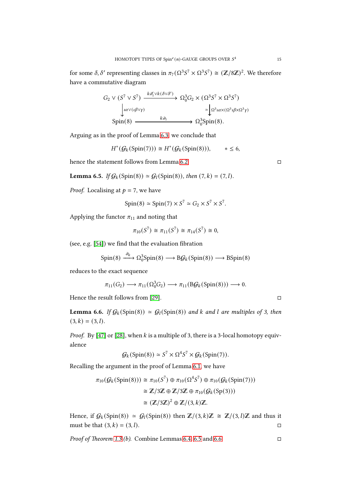for some  $\delta$ ,  $\delta'$  representing classes in  $\pi_7(\Omega^3 S^7 \times \Omega^3 S^7) \cong (\mathbb{Z}/8\mathbb{Z})^2$ . We therefore have a commutative diagram

$$
G_2 \vee (S^7 \vee S^7) \xrightarrow{k \partial_1' \vee k(\delta \vee \delta')} \Omega_0^3 G_2 \times (\Omega^3 S^7 \times \Omega^3 S^7)
$$
  
\n
$$
\downarrow \omega \vee (\iota \beta \vee \gamma)
$$
\n
$$
\longrightarrow \Omega_0^3 \Omega^2 \times (\Omega^3 \iota \beta \times \Omega^3 \gamma)
$$
  
\n
$$
\longrightarrow \Omega_0^3 \text{Spin}(8).
$$

Arguing as in the proof of Lemma [6.3,](#page-11-2) we conclude that

$$
H^*(\mathcal{G}_k(\text{Spin}(7))) \cong H^*(\mathcal{G}_k(\text{Spin}(8))), \qquad * \leq 6,
$$

<span id="page-14-0"></span>hence the statement follows from Lemma [6.2.](#page-11-0)

**Lemma 6.5.** If  $G_k(\text{Spin}(8)) \simeq G_l(\text{Spin}(8))$ , then  $(7, k) = (7, l)$ .

*Proof.* Localising at  $p = 7$ , we have

$$
Spin(8) \simeq Spin(7) \times S^7 \simeq G_2 \times S^7 \times S^7.
$$

Applying the functor  $\pi_{11}$  and noting that

$$
\pi_{10}(S^7) \cong \pi_{11}(S^7) \cong \pi_{14}(S^7) \cong 0,
$$

(see, e.g. [\[54\]](#page-17-4)) we find that the evaluation fibration

$$
\text{Spin}(8) \xrightarrow{\partial_k} \Omega_0^3 \text{Spin}(8) \longrightarrow \text{B}\mathcal{G}_k(\text{Spin}(8)) \longrightarrow \text{B}\text{Spin}(8)
$$

reduces to the exact sequence

$$
\pi_{11}(G_2) \longrightarrow \pi_{11}(\Omega_0^3 G_2) \longrightarrow \pi_{11}(B\mathcal{G}_k(\text{Spin}(8))) \longrightarrow 0.
$$

<span id="page-14-1"></span>Hence the result follows from [\[29\]](#page-16-20).  $\Box$ 

**Lemma 6.6.** If  $G_k(\text{Spin}(8)) \simeq G_l(\text{Spin}(8))$  and k and l are multiples of 3, then  $(3, k) = (3, l).$ 

*Proof.* By [\[47\]](#page-16-15) or [\[28\]](#page-16-14), when  $k$  is a multiple of 3, there is a 3-local homotopy equivalence

$$
\mathcal{G}_k(\text{Spin}(8)) \simeq S^7 \times \Omega^4 S^7 \times \mathcal{G}_k(\text{Spin}(7)).
$$

Recalling the argument in the proof of Lemma [6.1,](#page-11-1) we have

$$
\pi_{10}(\mathcal{G}_k(\text{Spin}(8))) \cong \pi_{10}(S^7) \oplus \pi_{10}(\Omega^4 S^7) \oplus \pi_{10}(\mathcal{G}_k(\text{Spin}(7)))
$$

$$
\cong \mathbb{Z}/3\mathbb{Z} \oplus \mathbb{Z}/3\mathbb{Z} \oplus \pi_{10}(\mathcal{G}_k(\text{Sp}(3)))
$$

$$
\cong (\mathbb{Z}/3\mathbb{Z})^2 \oplus \mathbb{Z}/(3,k)\mathbb{Z}.
$$

Hence, if  $G_k(Spin(8)) \simeq G_l(Spin(8))$  then  $\mathbb{Z}/(3,k)\mathbb{Z} \cong \mathbb{Z}/(3,l)\mathbb{Z}$  and thus it must be that  $(3, k) = (3, l)$ .

*Proof of Theorem [1.3](#page-2-0) (b).* Combine Lemmas [6.4,](#page-13-0) [6.5](#page-14-0) and [6.6.](#page-14-1)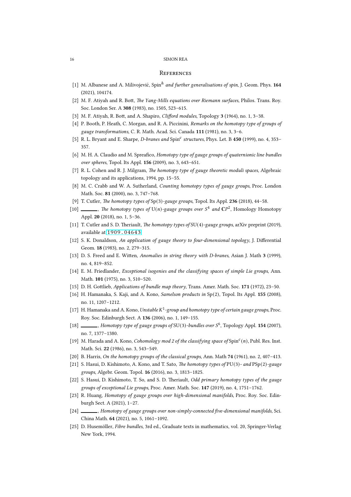### **REFERENCES**

- <span id="page-15-17"></span>[1] M. Albanese and A. Milivojević, Spin<sup>h</sup> and further generalisations of spin, J. Geom. Phys. 164 (2021), 104174.
- <span id="page-15-18"></span>[2] M. F. Atiyah and R. Bott, The Yang-Mills equations over Riemann surfaces, Philos. Trans. Roy. Soc. London Ser. A 308 (1983), no. 1505, 523–615.
- <span id="page-15-14"></span>[3] M. F. Atiyah, R. Bott, and A. Shapiro, *Clifford modules*, Topology  $3$  (1964), no. 1, 3–38.
- <span id="page-15-21"></span>[4] P. Booth, P. Heath, C. Morgan, and R. A. Piccinini, Remarks on the homotopy type of groups of gauge transformations, C. R. Math. Acad. Sci. Canada 111 (1981), no. 3, 3–6.
- <span id="page-15-15"></span>[5] R. L. Bryant and E. Sharpe, *D-branes and Spin<sup>c</sup> structures*, Phys. Let. B 450 (1999), no. 4, 353-357.
- <span id="page-15-9"></span>[6] M. H. A. Claudio and M. Spreafico, Homotopy type of gauge groups of quaternionic line bundles over spheres, Topol. Its Appl. 156 (2009), no. 3, 643–651.
- <span id="page-15-1"></span>[7] R. L. Cohen and R. J. Milgram, The homotopy type of gauge theoretic moduli spaces, Algebraic topology and its applications, 1994, pp. 15–55.
- <span id="page-15-3"></span>[8] M. C. Crabb and W. A. Sutherland, *Counting homotopy types of gauge groups*, Proc. London Math. Soc. 81 (2000), no. 3, 747–768.
- <span id="page-15-5"></span>[9] T. Cutler, The homotopy types of  $Sp(3)$ -gauge groups, Topol. Its Appl. 236 (2018), 44-58.
- <span id="page-15-6"></span>[10] \_\_\_\_, The homotopy types of U(n)-gauge groups over  $S<sup>4</sup>$  and  $\mathbb{C}P<sup>2</sup>$ , Homology Homotopy Appl. 20 (2018), no. 1, 5–36.
- <span id="page-15-22"></span>[11] T. Cutler and S. D. Theriault, The homotopy types of  $SU(4)$ -gauge groups, arXiv preprint (2019), available at <1909.04643>.
- <span id="page-15-2"></span>[12] S. K. Donaldson, An application of gauge theory to four-dimensional topology, J. Differential Geom. 18 (1983), no. 2, 279–315.
- <span id="page-15-16"></span>[13] D. S. Freed and E. Witten, Anomalies in string theory with D-branes, Asian J. Math 3 (1999), no. 4, 819–852.
- <span id="page-15-24"></span>[14] E. M. Friedlander, Exceptional isogenies and the classifying spaces of simple Lie groups, Ann. Math. 101 (1975), no. 3, 510–520.
- <span id="page-15-19"></span>[15] D. H. Gottlieb, Applications of bundle map theory, Trans. Amer. Math. Soc. 171 (1972), 23-50.
- <span id="page-15-10"></span>[16] H. Hamanaka, S. Kaji, and A. Kono, Samelson products in Sp(2), Topol. Its Appl. 155 (2008), no. 11, 1207–1212.
- <span id="page-15-4"></span>[17] H. Hamanaka and A. Kono, Unstable  $K^1$ -group and homotopy type of certain gauge groups, Proc. Roy. Soc. Edinburgh Sect. A 136 (2006), no. 1, 149–155.
- <span id="page-15-11"></span>[18]  $\_\_\_\_\$ , Homotopy type of gauge groups of SU(3)-bundles over  $S^6$ , Topology Appl. 154 (2007), no. 7, 1377–1380.
- <span id="page-15-20"></span>[19] M. Harada and A. Kono, Cohomology mod 2 of the classifying space of Spin<sup>c</sup>(n), Publ. Res. Inst. Math. Sci. 22 (1986), no. 3, 543–549.
- <span id="page-15-23"></span>[20] B. Harris, On the homotopy groups of the classical groups, Ann. Math 74 (1961), no. 2, 407–413.
- <span id="page-15-7"></span>[21] S. Hasui, D. Kishimoto, A. Kono, and T. Sato, The homotopy types of PU(3)- and PSp(2)-gauge groups, Algebr. Geom. Topol. 16 (2016), no. 3, 1813–1825.
- <span id="page-15-8"></span>[22] S. Hasui, D. Kishimoto, T. So, and S. D. Theriault, Odd primary homotopy types of the gauge groups of exceptional Lie groups, Proc. Amer. Math. Soc. 147 (2019), no. 4, 1751–1762.
- <span id="page-15-12"></span>[23] R. Huang, Homotopy of gauge groups over high-dimensional manifolds, Proc. Roy. Soc. Edinburgh Sect. A (2021), 1–27.
- <span id="page-15-13"></span>[24] , Homotopy of gauge groups over non-simply-connected five-dimensional manifolds, Sci. China Math. 64 (2021), no. 5, 1061–1092.
- <span id="page-15-0"></span>[25] D. Husemöller, Fibre bundles, 3rd ed., Graduate texts in mathematics, vol. 20, Springer-Verlag New York, 1994.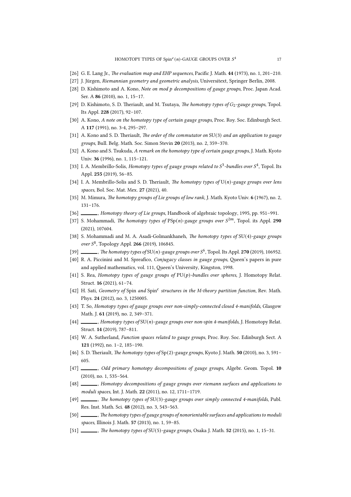- <span id="page-16-17"></span>[26] G. E. Lang Jr., The evaluation map and EHP sequences, Pacific J. Math. 44 (1973), no. 1, 201-210.
- <span id="page-16-18"></span>[27] J. Jürgen, Riemannian geometry and geometric analysis, Universitext, Springer Berlin, 2008.
- <span id="page-16-14"></span>[28] D. Kishimoto and A. Kono, Note on mod p decompositions of gauge groups, Proc. Japan Acad. Ser. A 86 (2010), no. 1, 15–17.
- <span id="page-16-20"></span>[29] D. Kishimoto, S. D. Theriault, and M. Tsutaya, The homotopy types of  $G_2$ -gauge groups, Topol. Its Appl. 228 (2017), 92–107.
- <span id="page-16-3"></span>[30] A. Kono, A note on the homotopy type of certain gauge groups, Proc. Roy. Soc. Edinburgh Sect. A 117 (1991), no. 3-4, 295–297.
- <span id="page-16-6"></span>[31] A. Kono and S. D. Theriault, The order of the commutator on  $SU(3)$  and an application to gauge groups, Bull. Belg. Math. Soc. Simon Stevin 20 (2013), no. 2, 359–370.
- [32] A. Kono and S. Tsukuda, A remark on the homotopy type of certain gauge groups, J. Math. Kyoto Univ. 36 (1996), no. 1, 115–121.
- [33] I. A. Membrillo-Solis, Homotopy types of gauge groups related to  $S^3$ -bundles over  $S^4$ , Topol. Its Appl. 255 (2019), 56–85.
- <span id="page-16-7"></span>[34] I. A. Membrillo-Solis and S. D. Theriault, The homotopy types of  $U(n)$ -gauge groups over lens spaces, Bol. Soc. Mat. Mex. 27 (2021), 40.
- <span id="page-16-19"></span>[35] M. Mimura, The homotopy groups of Lie groups of low rank, J. Math. Kyoto Univ. 6 (1967), no. 2, 131–176.
- <span id="page-16-21"></span>[36] , Homotopy theory of Lie groups, Handbook of algebraic topology, 1995, pp. 951–991.
- <span id="page-16-8"></span>[37] S. Mohammadi, The homotopy types of  $PSp(n)$ -gauge groups over  $S^{2m}$ , Topol. its Appl. 290 (2021), 107604.
- [38] S. Mohammadi and M. A. Asadi-Golmankhaneh, The homotopy types of  $SU(4)$ -gauge groups over  $S^8$ , Topology Appl. 266 (2019), 106845.
- [39]  $\_\_\_\_\$ , The homotopy types of SU(n)-gauge groups over  $S^6$ , Topol. Its Appl. 270 (2019), 106952.
- <span id="page-16-0"></span>[40] R. A. Piccinini and M. Spreafico, Conjugacy classes in gauge groups, Queen's papers in pure and applied mathematics, vol. 111, Queen's University, Kingston, 1998.
- <span id="page-16-9"></span>[41] S. Rea, Homotopy types of gauge groups of  $PU(p)$ -bundles over spheres, J. Homotopy Relat. Struct. 16 (2021), 61–74.
- <span id="page-16-13"></span>[42] H. Sati, Geometry of Spin and Spin<sup>c</sup> structures in the M-theory partition function, Rev. Math. Phys. 24 (2012), no. 3, 1250005.
- <span id="page-16-10"></span>[43] T. So, Homotopy types of gauge groups over non-simply-connected closed 4-manifolds, Glasgow Math. J. 61 (2019), no. 2, 349–371.
- <span id="page-16-11"></span>[44] , Homotopy types of  $SU(n)$ -gauge groups over non-spin 4-manifolds, J. Homotopy Relat. Struct. 14 (2019), 787–811.
- <span id="page-16-16"></span>[45] W. A. Sutherland, Function spaces related to gauge groups, Proc. Roy. Soc. Edinburgh Sect. A 121 (1992), no. 1–2, 185–190.
- <span id="page-16-5"></span>[46] S. D. Theriault, The homotopy types of  $Sp(2)$ -gauge groups, Kyoto J. Math. 50 (2010), no. 3, 591– 605.
- <span id="page-16-15"></span>[47] , Odd primary homotopy decompositions of gauge groups, Algebr. Geom. Topol. 10 (2010), no. 1, 535–564.
- <span id="page-16-1"></span>[48] , Homotopy decompositions of gauge groups over riemann surfaces and applications to moduli spaces, Int. J. Math. 22 (2011), no. 12, 1711–1719.
- <span id="page-16-12"></span>[49] , The homotopy types of SU(3)-gauge groups over simply connected 4-manifolds, Publ. Res. Inst. Math. Sci. 48 (2012), no. 3, 543–563.
- <span id="page-16-2"></span>[50] , The homotopy types of gauge groups of nonorientable surfaces and applications to moduli spaces, Illinois J. Math. 57 (2013), no. 1, 59–85.
- <span id="page-16-4"></span>[51] , The homotopy types of SU(5)-gauge groups, Osaka J. Math.  $52$  (2015), no. 1, 15–31.